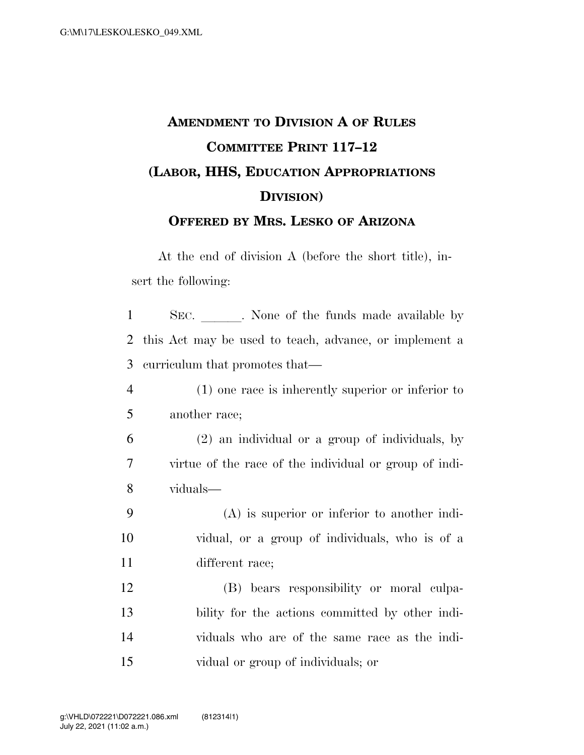## **AMENDMENT TO DIVISION A OF RULES COMMITTEE PRINT 117–12 (LABOR, HHS, EDUCATION APPROPRIATIONS DIVISION) OFFERED BY MRS. LESKO OF ARIZONA**

At the end of division A (before the short title), insert the following:

1 SEC. None of the funds made available by this Act may be used to teach, advance, or implement a curriculum that promotes that— (1) one race is inherently superior or inferior to another race; (2) an individual or a group of individuals, by virtue of the race of the individual or group of indi- viduals— (A) is superior or inferior to another indi- vidual, or a group of individuals, who is of a different race; (B) bears responsibility or moral culpa- bility for the actions committed by other indi- viduals who are of the same race as the indi-vidual or group of individuals; or